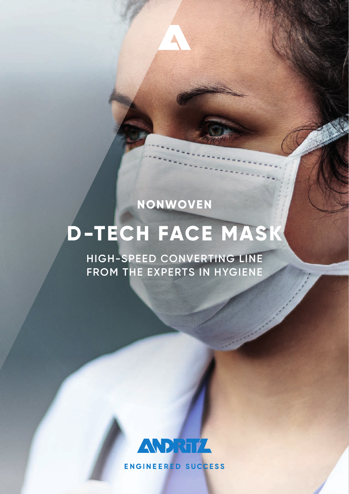### **NONWOVEN**

# **D-TECH FACE MASK**

**HIGH-SPEED CONVERTING LINE FROM THE EXPERTS IN HYGIENE**



**ENGINEERED SUCCESS**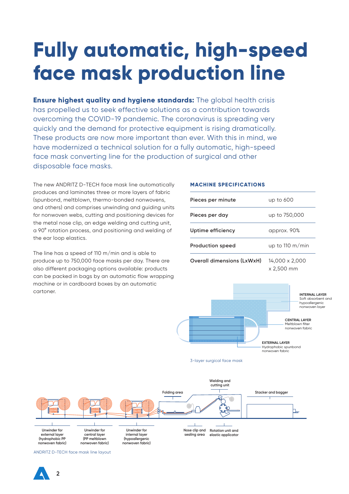## **Fully automatic, high-speed face mask production line**

**Ensure highest quality and hygiene standards:** The global health crisis has propelled us to seek effective solutions as a contribution towards overcoming the COVID-19 pandemic. The coronavirus is spreading very quickly and the demand for protective equipment is rising dramatically. These products are now more important than ever. With this in mind, we have modernized a technical solution for a fully automatic, high-speed face mask converting line for the production of surgical and other disposable face masks.

The new ANDRITZ D-TECH face mask line automatically produces and laminates three or more layers of fabric (spunbond, meltblown, thermo-bonded nonwovens, and others) and comprises unwinding and guiding units for nonwoven webs, cutting and positioning devices for the metal nose clip, an edge welding and cutting unit, a 90° rotation process, and positioning and welding of the ear loop elastics.

The line has a speed of 110 m/min and is able to produce up to 750,000 face masks per day. There are also different packaging options available: products can be packed in bags by an automatic flow wrapping machine or in cardboard boxes by an automatic cartoner.

**2**

#### **MACHINE SPECIFICATIONS**

| Pieces per minute          | up to 600                    |
|----------------------------|------------------------------|
| Pieces per day             | up to 750,000                |
| Uptime efficiency          | approx. 90%                  |
| <b>Production speed</b>    | up to 110 $m/min$            |
| Overall dimensions (LxWxH) | 14,000 x 2,000<br>x 2,500 mm |

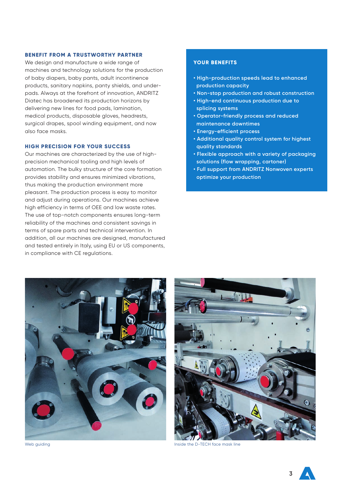#### **BENEFIT FROM A TRUSTWORTHY PARTNER**

We design and manufacture a wide range of machines and technology solutions for the production of baby diapers, baby pants, adult incontinence products, sanitary napkins, panty shields, and underpads. Always at the forefront of innovation, ANDRITZ Diatec has broadened its production horizons by delivering new lines for food pads, lamination, medical products, disposable gloves, headrests, surgical drapes, spool winding equipment, and now also face masks.

#### **HIGH PRECISION FOR YOUR SUCCESS**

Our machines are characterized by the use of highprecision mechanical tooling and high levels of automation. The bulky structure of the core formation provides stability and ensures minimized vibrations, thus making the production environment more pleasant. The production process is easy to monitor and adjust during operations. Our machines achieve high efficiency in terms of OEE and low waste rates. The use of top-notch components ensures long-term reliability of the machines and consistent savings in terms of spare parts and technical intervention. In addition, all our machines are designed, manufactured and tested entirely in Italy, using EU or US components, in compliance with CE regulations.

#### **YOUR BENEFITS**

- **High-production speeds lead to enhanced production capacity**
- **Non-stop production and robust construction**
- **High-end continuous production due to splicing systems**
- **Operator-friendly process and reduced maintenance downtimes**
- **Energy-efficient process**
- **Additional quality control system for highest quality standards**
- **Flexible approach with a variety of packaging solutions (flow wrapping, cartoner)**
- **Full support from ANDRITZ Nonwoven experts optimize your production**





Web guiding **Inside the D-TECH** face mask line